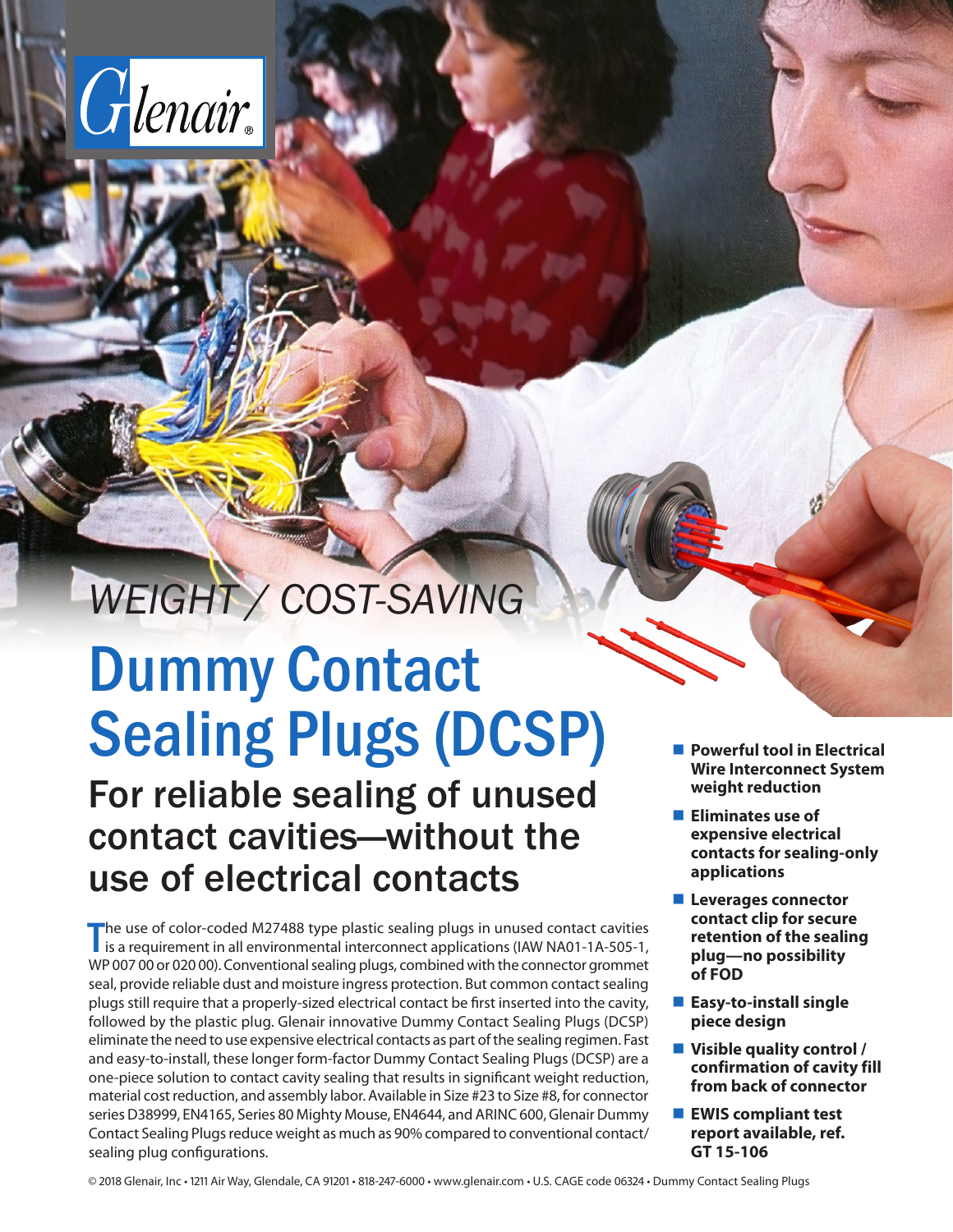

## *WEIGHT / COST-SAVING*

# Dummy Contact Sealing Plugs (DCSP)

For reliable sealing of unused contact cavities—without the use of electrical contacts

The use of color-coded M27488 type plastic sealing plugs in unused contact cavities<br>is a requirement in all environmental interconnect applications (IAW NA01-1A-505-1, is a requirement in all environmental interconnect applications (IAW NA01-1A-505-1, WP 007 00 or 020 00). Conventional sealing plugs, combined with the connector grommet seal, provide reliable dust and moisture ingress protection. But common contact sealing plugs still require that a properly-sized electrical contact be first inserted into the cavity, followed by the plastic plug. Glenair innovative Dummy Contact Sealing Plugs (DCSP) eliminate the need to use expensive electrical contacts as part of the sealing regimen. Fast and easy-to-install, these longer form-factor Dummy Contact Sealing Plugs (DCSP) are a one-piece solution to contact cavity sealing that results in significant weight reduction, material cost reduction, and assembly labor. Available in Size #23 to Size #8, for connector series D38999, EN4165, Series 80 Mighty Mouse, EN4644, and ARINC 600, Glenair Dummy Contact Sealing Plugs reduce weight as much as 90% compared to conventional contact/ sealing plug configurations.

- Powerful tool in Electrical **Wire Interconnect System weight reduction**
- **Eliminates use of expensive electrical contacts for sealing-only applications**
- **Leverages connector contact clip for secure retention of the sealing plug—no possibility of FOD**
- **Easy-to-install single piece design**
- **Visible quality control / confirmation of cavity fill from back of connector**
- **EWIS compliant test report available, ref. GT 15-106**

© 2018 Glenair, Inc • 1211 Air Way, Glendale, CA 91201 • 818-247-6000 • www.glenair.com • U.S. CAGE code 06324 • Dummy Contact Sealing Plugs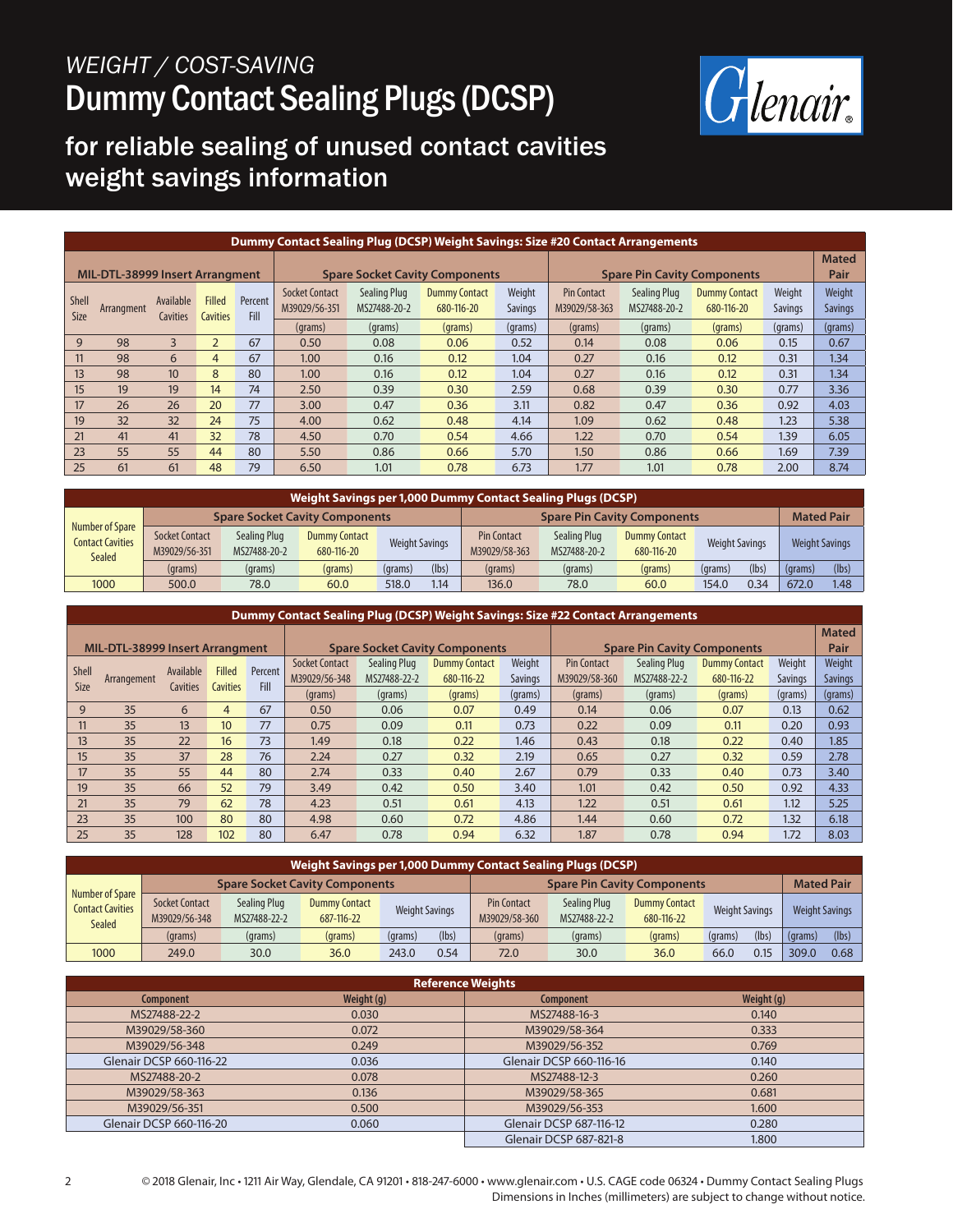

### for reliable sealing of unused contact cavities weight savings information

| Dummy Contact Sealing Plug (DCSP) Weight Savings: Size #20 Contact Arrangements |                                        |                       |                                  |                 |                                        |                                     |                                       |                                    |                                     |                              |                                    |                          |                          |
|---------------------------------------------------------------------------------|----------------------------------------|-----------------------|----------------------------------|-----------------|----------------------------------------|-------------------------------------|---------------------------------------|------------------------------------|-------------------------------------|------------------------------|------------------------------------|--------------------------|--------------------------|
|                                                                                 | <b>MIL-DTL-38999 Insert Arrangment</b> |                       |                                  |                 |                                        |                                     | <b>Spare Socket Cavity Components</b> | <b>Spare Pin Cavity Components</b> |                                     |                              |                                    | <b>Mated</b><br>Pair     |                          |
| Shell<br>Size                                                                   | Arrangment                             | Available<br>Cavities | <b>Filled</b><br><b>Cavities</b> | Percent<br>Fill | <b>Socket Contact</b><br>M39029/56-351 | <b>Sealing Plug</b><br>MS27488-20-2 | <b>Dummy Contact</b><br>680-116-20    | Weight<br><b>Savings</b>           | <b>Pin Contact</b><br>M39029/58-363 | Sealing Plug<br>MS27488-20-2 | <b>Dummy Contact</b><br>680-116-20 | Weight<br><b>Savings</b> | Weight<br><b>Savings</b> |
|                                                                                 |                                        |                       |                                  |                 | (grams)                                | (grams)                             | (grams)                               | (grams)                            | (grams)                             | (grams)                      | (grams)                            | (grams)                  | (grams)                  |
| 9                                                                               | 98                                     | 3                     | $\overline{2}$                   | 67              | 0.50                                   | 0.08                                | 0.06                                  | 0.52                               | 0.14                                | 0.08                         | 0.06                               | 0.15                     | 0.67                     |
| 11                                                                              | 98                                     | 6                     | 4                                | 67              | 1.00                                   | 0.16                                | 0.12                                  | 1.04                               | 0.27                                | 0.16                         | 0.12                               | 0.31                     | 1.34                     |
| 13                                                                              | 98                                     | 10 <sup>10</sup>      | 8                                | 80              | 1.00                                   | 0.16                                | 0.12                                  | 1.04                               | 0.27                                | 0.16                         | 0.12                               | 0.31                     | 1.34                     |
| 15                                                                              | 19                                     | 19                    | 14                               | 74              | 2.50                                   | 0.39                                | 0.30                                  | 2.59                               | 0.68                                | 0.39                         | 0.30                               | 0.77                     | 3.36                     |
| 17                                                                              | 26                                     | 26                    | 20                               | 77              | 3.00                                   | 0.47                                | 0.36                                  | 3.11                               | 0.82                                | 0.47                         | 0.36                               | 0.92                     | 4.03                     |
| 19                                                                              | 32                                     | 32                    | 24                               | 75              | 4.00                                   | 0.62                                | 0.48                                  | 4.14                               | 1.09                                | 0.62                         | 0.48                               | 1.23                     | 5.38                     |
| 21                                                                              | 41                                     | 41                    | 32                               | 78              | 4.50                                   | 0.70                                | 0.54                                  | 4.66                               | 1.22                                | 0.70                         | 0.54                               | 1.39                     | 6.05                     |
| 23                                                                              | 55                                     | 55                    | 44                               | 80              | 5.50                                   | 0.86                                | 0.66                                  | 5.70                               | 1.50                                | 0.86                         | 0.66                               | 1.69                     | 7.39                     |
| 25                                                                              | 61                                     | 61                    | 48                               | 79              | 6.50                                   | 1.01                                | 0.78                                  | 6.73                               | 1.77                                | 1.01                         | 0.78                               | 2.00                     | 8.74                     |

| Weight Savings per 1,000 Dummy Contact Sealing Plugs (DCSP)        |                                        |                              |                                       |                       |       |                                     |                              |                                    |                       |       |                       |                  |
|--------------------------------------------------------------------|----------------------------------------|------------------------------|---------------------------------------|-----------------------|-------|-------------------------------------|------------------------------|------------------------------------|-----------------------|-------|-----------------------|------------------|
|                                                                    |                                        |                              | <b>Spare Socket Cavity Components</b> |                       |       | <b>Spare Pin Cavity Components</b>  |                              |                                    | <b>Mated Pair</b>     |       |                       |                  |
| <b>Number of Spare</b><br><b>Contact Cavities</b><br><b>Sealed</b> | <b>Socket Contact</b><br>M39029/56-351 | Sealing Plug<br>MS27488-20-2 | <b>Dummy Contact</b><br>680-116-20    | <b>Weight Savings</b> |       | <b>Pin Contact</b><br>M39029/58-363 | Sealing Plug<br>MS27488-20-2 | <b>Dummy Contact</b><br>680-116-20 | <b>Weight Savings</b> |       | <b>Weight Savings</b> |                  |
|                                                                    | (grams)                                | (grams)                      | (grams)                               | (grams)               | (lbs) | (grams)                             | (grams)                      | (grams)                            | (grams)               | (lbs) | (grams)               | (lbs)            |
| 1000                                                               | 500.0                                  | 78.0                         | 60.0                                  | 518.0                 | 1.14  | 136.0                               | 78.0                         | 60.0                               | 154.0                 | 0.34  | 672.0                 | .48 <sub>1</sub> |

#### **Dummy Contact Sealing Plug (DCSP) Weight Savings: Size #22 Contact Arrangements MIL-DTL-38999 Insert Arrangment Spare Socket Cavity Components Spare Pin Cavity Components Mated Pair** Shell Shell Arrangement Available<br>Size Arrangement Cavities **Cavities** Filled **Cavities** Percent Fill Socket Contact M39029/56-348 Sealing Plug Dummy Contact MS27488-22-2 680-116-22 Weight Savings Pin Contact M39029/58-360 Sealing Plug MS27488-22-2 Dummy Contact 680-116-22 Weight Savings Weight Savings (grams) (grams) (grams) (grams) (grams) (grams) (grams) (grams) (grams) 9 35 6 4 67 0.50 0.06 0.07 0.49 0.14 0.06 0.07 0.13 0.62 11 35 13 10 77 0.75 0.09 0.11 0.73 0.22 0.09 0.11 0.20 0.93 13 35 22 16 73 1.49 0.18 0.22 1.46 0.43 0.18 0.22 0.40 1.85 15 35 37 28 76 2.24 0.27 0.32 2.19 0.65 0.27 0.32 0.59 2.78 17 35 55 44 80 2.74 0.33 0.40 2.67 0.79 0.33 0.40 0.73 3.40 19 35 66 52 79 3.49 0.42 0.50 3.40 1.01 0.42 0.50 0.92 4.33 21 35 79 <mark>62</mark> 78 4.23 0.51 0.61 4.13 1.22 0.51 0.61 1.12 5.25 23 35 100 80 80 4.98 0.60 0.72 4.86 1.44 0.60 0.72 1.32 6.18 25 35 128 102 80 6.47 0.78 0.94 6.32 1.87 0.78 0.94 1.72 8.03

| Weight Savings per 1,000 Dummy Contact Sealing Plugs (DCSP) |                                        |                              |                                       |                       |       |                                     |                              |                                    |                       |       |                   |                       |  |
|-------------------------------------------------------------|----------------------------------------|------------------------------|---------------------------------------|-----------------------|-------|-------------------------------------|------------------------------|------------------------------------|-----------------------|-------|-------------------|-----------------------|--|
|                                                             |                                        |                              | <b>Spare Socket Cavity Components</b> |                       |       |                                     |                              | <b>Spare Pin Cavity Components</b> |                       |       | <b>Mated Pair</b> |                       |  |
| Number of Spare<br><b>Contact Cavities</b><br><b>Sealed</b> | <b>Socket Contact</b><br>M39029/56-348 | Sealing Plug<br>MS27488-22-2 | <b>Dummy Contact</b><br>687-116-22    | <b>Weight Savings</b> |       | <b>Pin Contact</b><br>M39029/58-360 | Sealing Plug<br>MS27488-22-2 | <b>Dummy Contact</b><br>680-116-22 | <b>Weight Savings</b> |       |                   | <b>Weight Savings</b> |  |
|                                                             | (grams)                                | (grams)                      | (grams)                               | (grams)               | (lbs) | (grams)                             | (grams)                      | (grams)                            | (grams)               | (lbs) | (grams)           | (lbs)                 |  |
| 1000                                                        | 249.0                                  | 30.0                         | 36.0                                  | 243.0                 | 0.54  | 72.0                                | 30.0                         | 36.0                               | 66.0                  | 0.15  | 309.0             | 0.68                  |  |

| <b>Reference Weights</b> |            |                         |            |  |  |  |  |  |  |  |
|--------------------------|------------|-------------------------|------------|--|--|--|--|--|--|--|
| Component                | Weight (g) | Component               | Weight (g) |  |  |  |  |  |  |  |
| MS27488-22-2             | 0.030      | MS27488-16-3            | 0.140      |  |  |  |  |  |  |  |
| M39029/58-360            | 0.072      | M39029/58-364           | 0.333      |  |  |  |  |  |  |  |
| M39029/56-348            | 0.249      | M39029/56-352           | 0.769      |  |  |  |  |  |  |  |
| Glenair DCSP 660-116-22  | 0.036      | Glenair DCSP 660-116-16 | 0.140      |  |  |  |  |  |  |  |
| MS27488-20-2             | 0.078      | MS27488-12-3            | 0.260      |  |  |  |  |  |  |  |
| M39029/58-363            | 0.136      | M39029/58-365           | 0.681      |  |  |  |  |  |  |  |
| M39029/56-351            | 0.500      | M39029/56-353           | 1.600      |  |  |  |  |  |  |  |
| Glenair DCSP 660-116-20  | 0.060      | Glenair DCSP 687-116-12 | 0.280      |  |  |  |  |  |  |  |
|                          |            | Glenair DCSP 687-821-8  | 1.800      |  |  |  |  |  |  |  |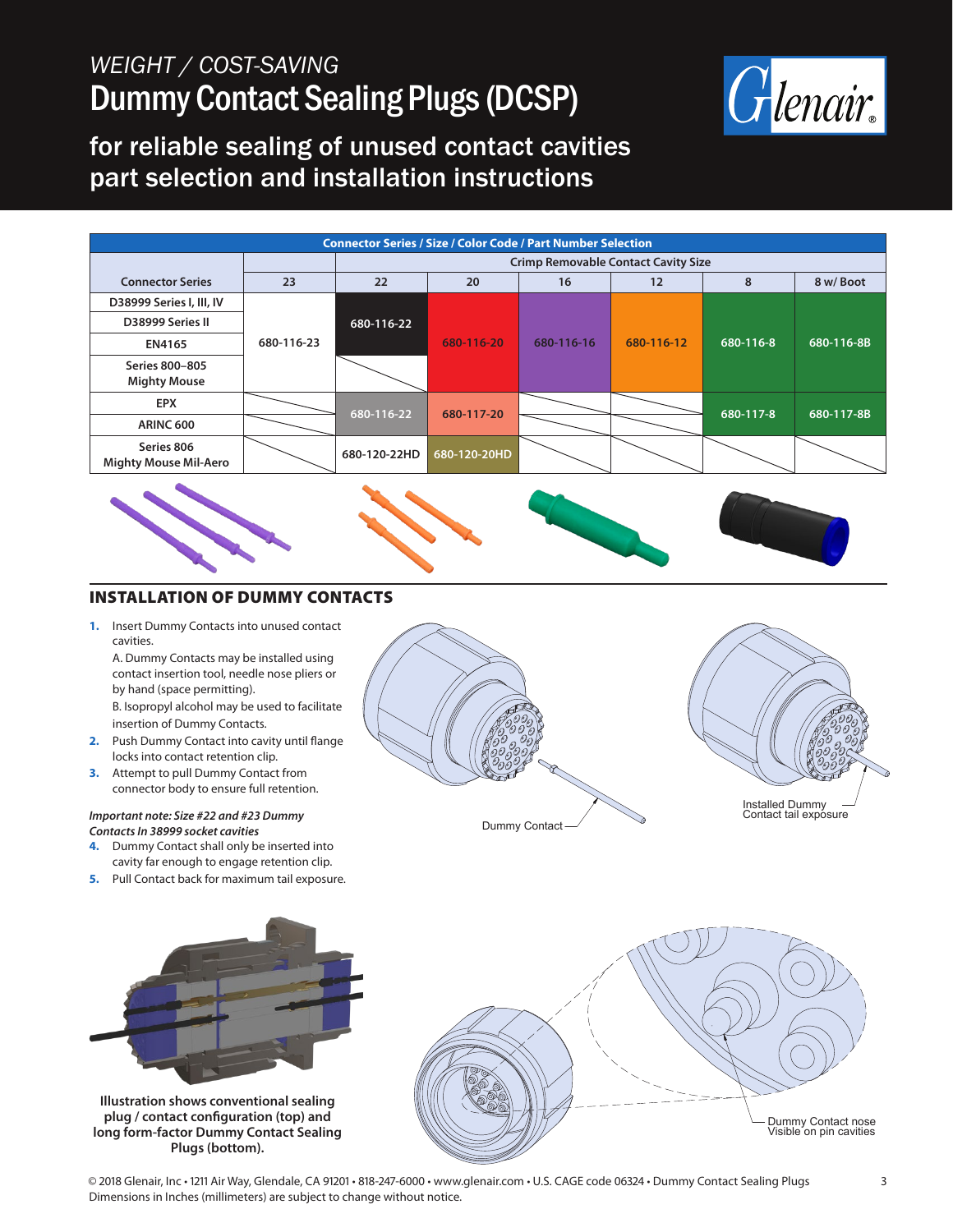

#### for reliable sealing of unused contact cavities part selection and installation instructions

| <b>Connector Series / Size / Color Code / Part Number Selection</b> |            |              |                                            |            |            |           |            |  |  |  |  |  |
|---------------------------------------------------------------------|------------|--------------|--------------------------------------------|------------|------------|-----------|------------|--|--|--|--|--|
|                                                                     |            |              | <b>Crimp Removable Contact Cavity Size</b> |            |            |           |            |  |  |  |  |  |
| <b>Connector Series</b>                                             | 23         | 22           | 20                                         | 16         | 12         | 8         | 8 w/Boot   |  |  |  |  |  |
| D38999 Series I, III, IV                                            |            |              |                                            |            |            |           |            |  |  |  |  |  |
| D38999 Series II                                                    |            | 680-116-22   |                                            |            | 680-116-12 | 680-116-8 |            |  |  |  |  |  |
| EN4165                                                              | 680-116-23 |              | 680-116-20                                 | 680-116-16 |            |           | 680-116-8B |  |  |  |  |  |
| Series 800-805                                                      |            |              |                                            |            |            |           |            |  |  |  |  |  |
| <b>Mighty Mouse</b>                                                 |            |              |                                            |            |            |           |            |  |  |  |  |  |
| <b>EPX</b>                                                          |            |              |                                            |            |            |           |            |  |  |  |  |  |
| <b>ARINC 600</b>                                                    |            | 680-116-22   | 680-117-20                                 |            |            | 680-117-8 | 680-117-8B |  |  |  |  |  |
| Series 806<br><b>Mighty Mouse Mil-Aero</b>                          |            | 680-120-22HD | 680-120-20HD                               |            |            |           |            |  |  |  |  |  |



#### INSTALLATION OF DUMMY CONTACTS

**1.** Insert Dummy Contacts into unused contact cavities.

A. Dummy Contacts may be installed using contact insertion tool, needle nose pliers or by hand (space permitting). B. Isopropyl alcohol may be used to facilitate insertion of Dummy Contacts.

- **2.** Push Dummy Contact into cavity until flange locks into contact retention clip.
- **3.** Attempt to pull Dummy Contact from connector body to ensure full retention.

#### *Important note: Size #22 and #23 Dummy Contacts In 38999 socket cavities*

- **4.** Dummy Contact shall only be inserted into cavity far enough to engage retention clip.
- **5.** Pull Contact back for maximum tail exposure.



**Illustration shows conventional sealing plug / contact configuration (top) and long form-factor Dummy Contact Sealing Plugs (bottom).**



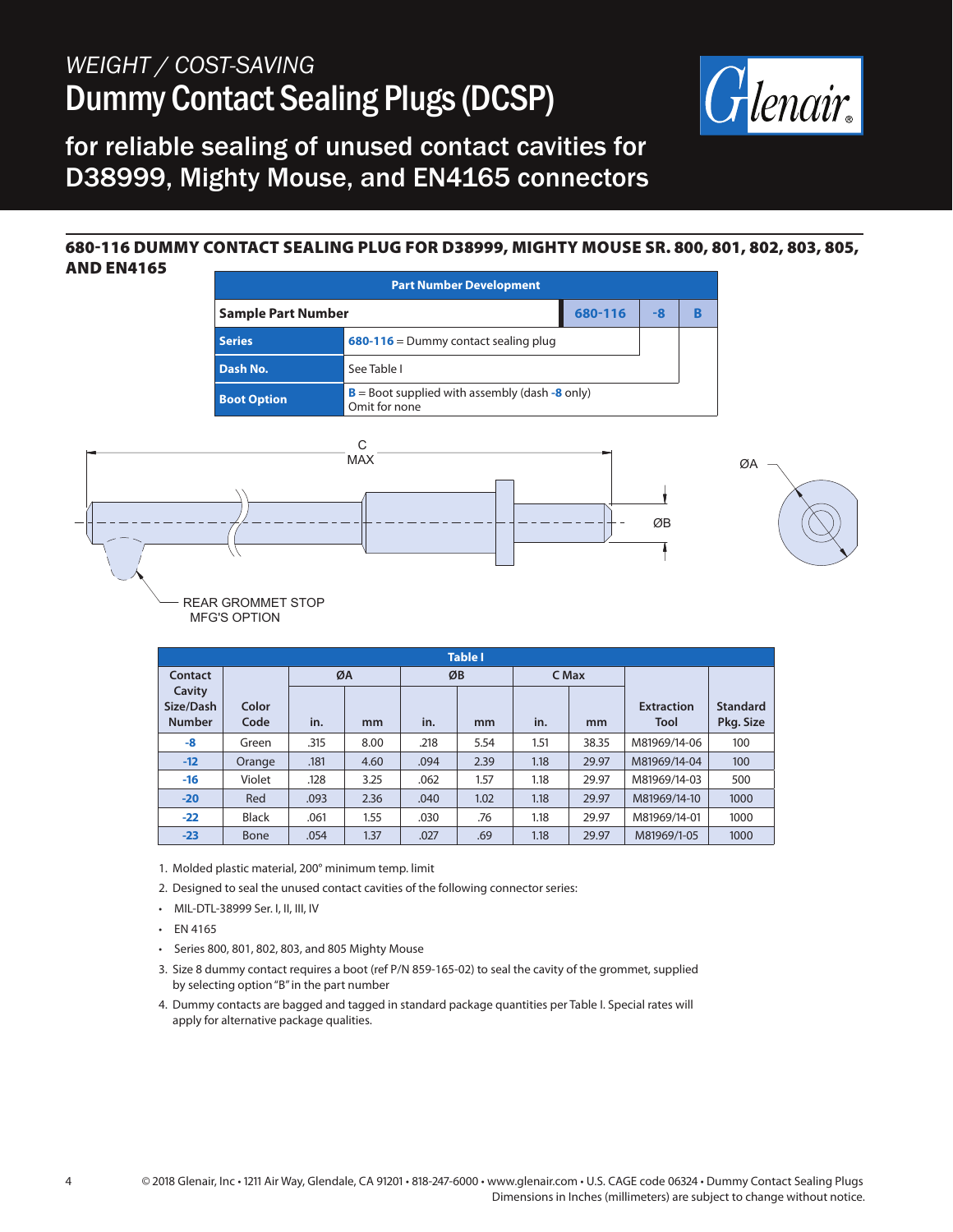

for reliable sealing of unused contact cavities for D38999, Mighty Mouse, and EN4165 connectors

#### 680-116 DUMMY CONTACT SEALING PLUG FOR D38999, MIGHTY MOUSE SR. 800, 801, 802, 803, 805, AND EN4165



|                     | <b>Table I</b> |      |      |      |      |       |       |                   |                 |  |  |  |  |  |
|---------------------|----------------|------|------|------|------|-------|-------|-------------------|-----------------|--|--|--|--|--|
| <b>Contact</b>      |                |      | ØA   |      | ØB   | C Max |       |                   |                 |  |  |  |  |  |
| Cavity<br>Size/Dash | Color          |      |      |      |      |       |       | <b>Extraction</b> | <b>Standard</b> |  |  |  |  |  |
| <b>Number</b>       | Code           | in.  | mm   | in.  | mm   | in.   | mm    | <b>Tool</b>       | Pkg. Size       |  |  |  |  |  |
| -8                  | Green          | .315 | 8.00 | .218 | 5.54 | 1.51  | 38.35 | M81969/14-06      | 100             |  |  |  |  |  |
| $-12$               | Orange         | .181 | 4.60 | .094 | 2.39 | 1.18  | 29.97 | M81969/14-04      | 100             |  |  |  |  |  |
| $-16$               | Violet         | .128 | 3.25 | .062 | 1.57 | 1.18  | 29.97 | M81969/14-03      | 500             |  |  |  |  |  |
| $-20$               | Red            | .093 | 2.36 | .040 | 1.02 | 1.18  | 29.97 | M81969/14-10      | 1000            |  |  |  |  |  |
| $-22$               | <b>Black</b>   | .061 | 1.55 | .030 | .76  | 1.18  | 29.97 | M81969/14-01      | 1000            |  |  |  |  |  |
| $-23$               | Bone           | .054 | 1.37 | .027 | .69  | 1.18  | 29.97 | M81969/1-05       | 1000            |  |  |  |  |  |

- 1. Molded plastic material, 200° minimum temp. limit
- 2. Designed to seal the unused contact cavities of the following connector series:
- MIL-DTL-38999 Ser. I, II, III, IV
- EN 4165
- Series 800, 801, 802, 803, and 805 Mighty Mouse
- 3. Size 8 dummy contact requires a boot (ref P/N 859-165-02) to seal the cavity of the grommet, supplied by selecting option "B" in the part number
- 4. Dummy contacts are bagged and tagged in standard package quantities per Table I. Special rates will apply for alternative package qualities.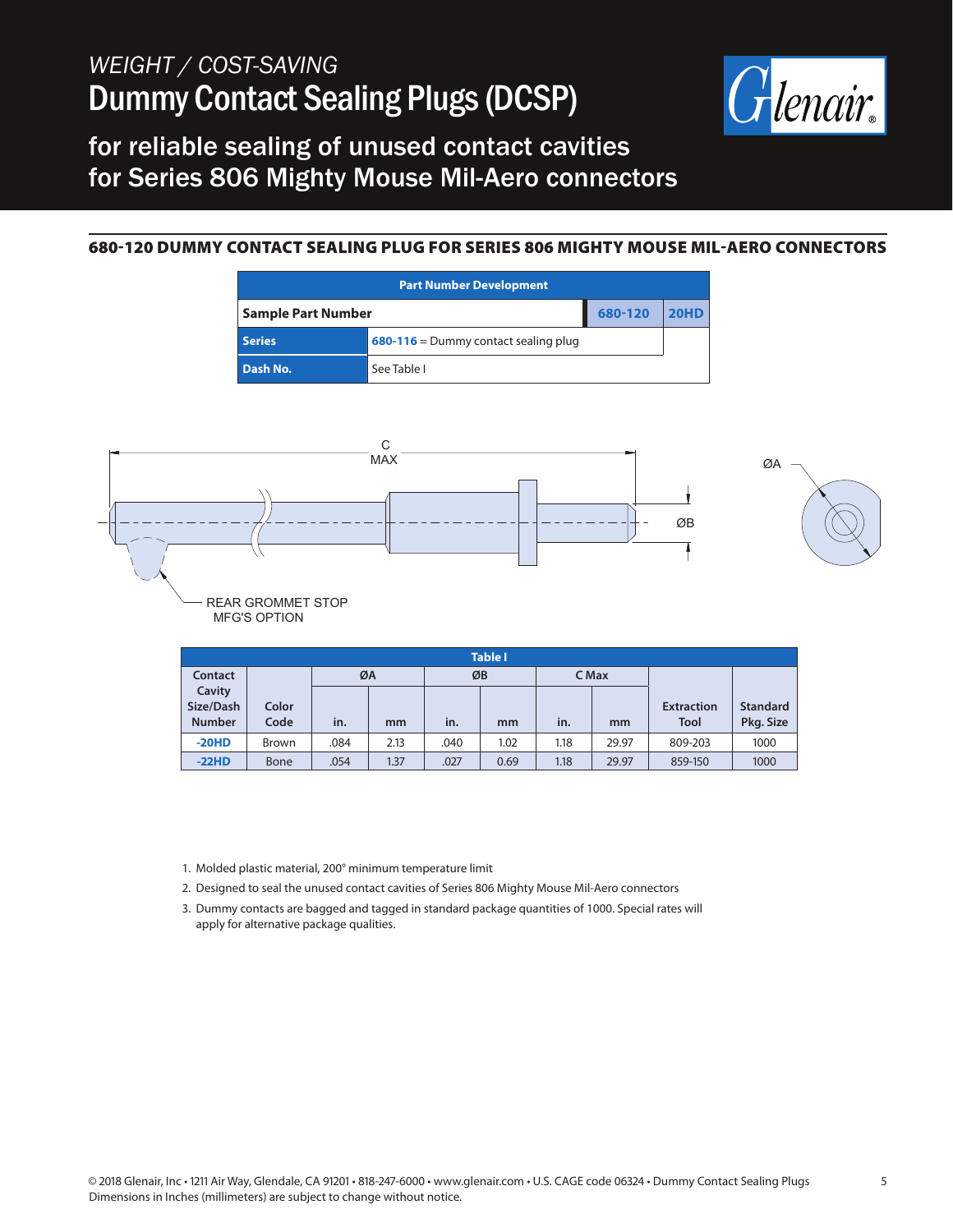

#### for reliable sealing of unused contact cavities for Series 806 Mighty Mouse Mil-Aero connectors

#### 680-120 DUMMY CONTACT SEALING PLUG FOR SERIES 806 MIGHTY MOUSE MIL-AERO CONNECTORS

| <b>Part Number Development</b> |                                             |         |      |  |  |  |  |  |  |
|--------------------------------|---------------------------------------------|---------|------|--|--|--|--|--|--|
| <b>Sample Part Number</b>      |                                             | 680-120 | 20HD |  |  |  |  |  |  |
| <b>Series</b>                  | <b>680-116</b> = Dummy contact sealing plug |         |      |  |  |  |  |  |  |
| Dash No.                       | See Table I                                 |         |      |  |  |  |  |  |  |



|                                      | <b>Table I</b> |      |      |      |      |      |       |                                  |                              |  |  |  |  |
|--------------------------------------|----------------|------|------|------|------|------|-------|----------------------------------|------------------------------|--|--|--|--|
| Contact                              |                | ØA   |      |      | ØB   |      | C Max |                                  |                              |  |  |  |  |
| Cavity<br>Size/Dash<br><b>Number</b> | Color<br>Code  | in.  | mm   | in.  | mm   | in.  | mm    | <b>Extraction</b><br><b>Tool</b> | <b>Standard</b><br>Pkg. Size |  |  |  |  |
| $-20HD$                              | Brown          | .084 | 2.13 | .040 | 1.02 | 1.18 | 29.97 | 809-203                          | 1000                         |  |  |  |  |
| $-22HD$                              | <b>Bone</b>    | .054 | 1.37 | .027 | 0.69 | 1.18 | 29.97 | 859-150                          | 1000                         |  |  |  |  |

1. Molded plastic material, 200° minimum temperature limit

- 2. Designed to seal the unused contact cavities of Series 806 Mighty Mouse Mil-Aero connectors
- 3. Dummy contacts are bagged and tagged in standard package quantities of 1000. Special rates will apply for alternative package qualities.